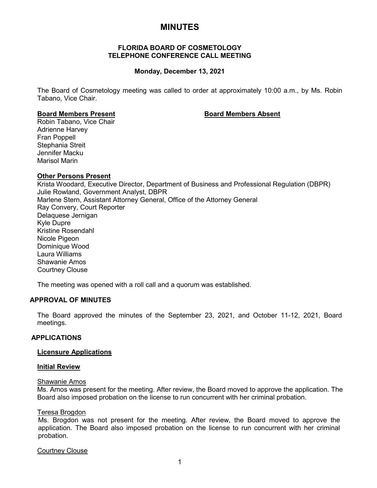# **MINUTES**

## **FLORIDA BOARD OF COSMETOLOGY TELEPHONE CONFERENCE CALL MEETING**

## **Monday, December 13, 2021**

The Board of Cosmetology meeting was called to order at approximately 10:00 a.m., by Ms. Robin Tabano, Vice Chair.

## **Board Members Present Board Members Absent**

Robin Tabano, Vice Chair Adrienne Harvey Fran Poppell Stephania Streit Jennifer Macku Marisol Marin

## **Other Persons Present**

Krista Woodard, Executive Director, Department of Business and Professional Regulation (DBPR) Julie Rowland, Government Analyst, DBPR Marlene Stern, Assistant Attorney General, Office of the Attorney General Ray Convery, Court Reporter Delaquese Jernigan Kyle Dupre Kristine Rosendahl Nicole Pigeon Dominique Wood Laura Williams Shawanie Amos Courtney Clouse

The meeting was opened with a roll call and a quorum was established.

## **APPROVAL OF MINUTES**

The Board approved the minutes of the September 23, 2021, and October 11-12, 2021, Board meetings.

## **APPLICATIONS**

## **Licensure Applications**

#### **Initial Review**

#### Shawanie Amos

Ms. Amos was present for the meeting. After review, the Board moved to approve the application. The Board also imposed probation on the license to run concurrent with her criminal probation.

## Teresa Brogdon

Ms. Brogdon was not present for the meeting. After review, the Board moved to approve the application. The Board also imposed probation on the license to run concurrent with her criminal probation.

Courtney Clouse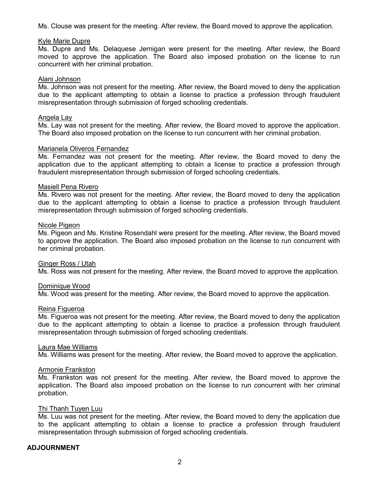Ms. Clouse was present for the meeting. After review, the Board moved to approve the application.

#### Kyle Marie Dupre

Ms. Dupre and Ms. Delaquese Jernigan were present for the meeting. After review, the Board moved to approve the application. The Board also imposed probation on the license to run concurrent with her criminal probation.

#### Alani Johnson

Ms. Johnson was not present for the meeting. After review, the Board moved to deny the application due to the applicant attempting to obtain a license to practice a profession through fraudulent misrepresentation through submission of forged schooling credentials.

#### Angela Lay

Ms. Lay was not present for the meeting. After review, the Board moved to approve the application. The Board also imposed probation on the license to run concurrent with her criminal probation.

### Marianela Oliveros Fernandez

Ms. Fernandez was not present for the meeting. After review, the Board moved to deny the application due to the applicant attempting to obtain a license to practice a profession through fraudulent misrepresentation through submission of forged schooling credentials.

## Masiell Pena Rivero

Ms. Rivero was not present for the meeting. After review, the Board moved to deny the application due to the applicant attempting to obtain a license to practice a profession through fraudulent misrepresentation through submission of forged schooling credentials.

## Nicole Pigeon

Ms. Pigeon and Ms. Kristine Rosendahl were present for the meeting. After review, the Board moved to approve the application. The Board also imposed probation on the license to run concurrent with her criminal probation.

#### Ginger Ross / Utah

Ms. Ross was not present for the meeting. After review, the Board moved to approve the application.

## Dominique Wood

Ms. Wood was present for the meeting. After review, the Board moved to approve the application.

#### Reina Figueroa

Ms. Figueroa was not present for the meeting. After review, the Board moved to deny the application due to the applicant attempting to obtain a license to practice a profession through fraudulent misrepresentation through submission of forged schooling credentials.

#### Laura Mae Williams

Ms. Williams was present for the meeting. After review, the Board moved to approve the application.

#### Armonie Frankston

Ms. Frankston was not present for the meeting. After review, the Board moved to approve the application. The Board also imposed probation on the license to run concurrent with her criminal probation.

#### Thi Thanh Tuyen Luu

Ms. Luu was not present for the meeting. After review, the Board moved to deny the application due to the applicant attempting to obtain a license to practice a profession through fraudulent misrepresentation through submission of forged schooling credentials.

## **ADJOURNMENT**